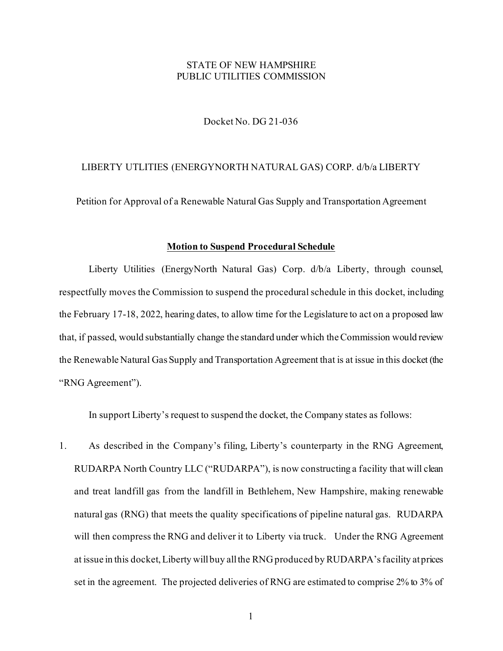## STATE OF NEW HAMPSHIRE PUBLIC UTILITIES COMMISSION

Docket No. DG 21-036

## LIBERTY UTLITIES (ENERGYNORTH NATURAL GAS) CORP. d/b/a LIBERTY

Petition for Approval of a Renewable Natural Gas Supply and Transportation Agreement

## **Motion to Suspend Procedural Schedule**

Liberty Utilities (EnergyNorth Natural Gas) Corp. d/b/a Liberty, through counsel, respectfully moves the Commission to suspend the procedural schedule in this docket, including the February 17-18, 2022, hearing dates, to allow time for the Legislature to act on a proposed law that, if passed, would substantially change the standard under which the Commission would review the Renewable Natural Gas Supply and Transportation Agreement that is at issue in this docket (the "RNG Agreement").

In support Liberty's request to suspend the docket, the Company states as follows:

1. As described in the Company's filing, Liberty's counterparty in the RNG Agreement, RUDARPA North Country LLC ("RUDARPA"), is now constructing a facility that will clean and treat landfill gas from the landfill in Bethlehem, New Hampshire, making renewable natural gas (RNG) that meets the quality specifications of pipeline natural gas. RUDARPA will then compress the RNG and deliver it to Liberty via truck. Under the RNG Agreement at issue in this docket, Liberty will buy all the RNG produced by RUDARPA's facility at prices set in the agreement. The projected deliveries of RNG are estimated to comprise 2% to 3% of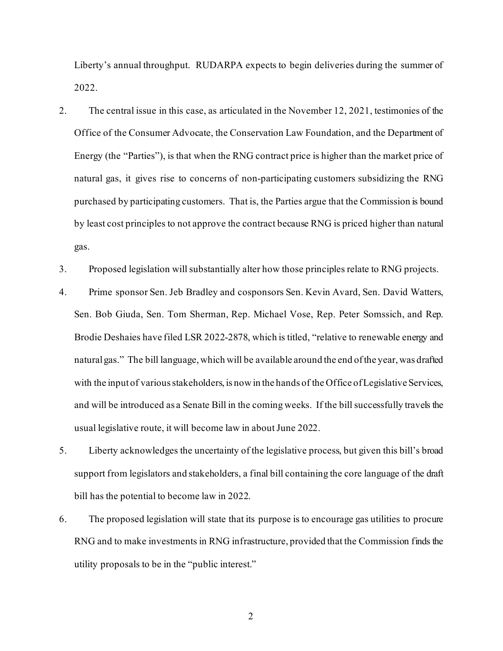Liberty's annual throughput. RUDARPA expects to begin deliveries during the summer of 2022.

- 2. The central issue in this case, as articulated in the November 12, 2021, testimonies of the Office of the Consumer Advocate, the Conservation Law Foundation, and the Department of Energy (the "Parties"), is that when the RNG contract price is higher than the market price of natural gas, it gives rise to concerns of non-participating customers subsidizing the RNG purchased by participating customers. That is, the Parties argue that the Commission is bound by least cost principles to not approve the contract because RNG is priced higher than natural gas.
- 3. Proposed legislation will substantially alter how those principles relate to RNG projects.
- 4. Prime sponsor Sen. Jeb Bradley and cosponsors Sen. Kevin Avard, Sen. David Watters, Sen. Bob Giuda, Sen. Tom Sherman, Rep. Michael Vose, Rep. Peter Somssich, and Rep. Brodie Deshaies have filed LSR 2022-2878, which is titled, "relative to renewable energy and natural gas." The bill language, which will be available around the end of the year, was drafted with the input of various stakeholders, is now in the hands of the Office of Legislative Services, and will be introduced as a Senate Bill in the coming weeks. If the bill successfully travels the usual legislative route, it will become law in about June 2022.
- 5. Liberty acknowledges the uncertainty of the legislative process, but given this bill's broad support from legislators and stakeholders, a final bill containing the core language of the draft bill has the potential to become law in 2022.
- 6. The proposed legislation will state that its purpose is to encourage gas utilities to procure RNG and to make investments in RNG infrastructure, provided that the Commission finds the utility proposals to be in the "public interest."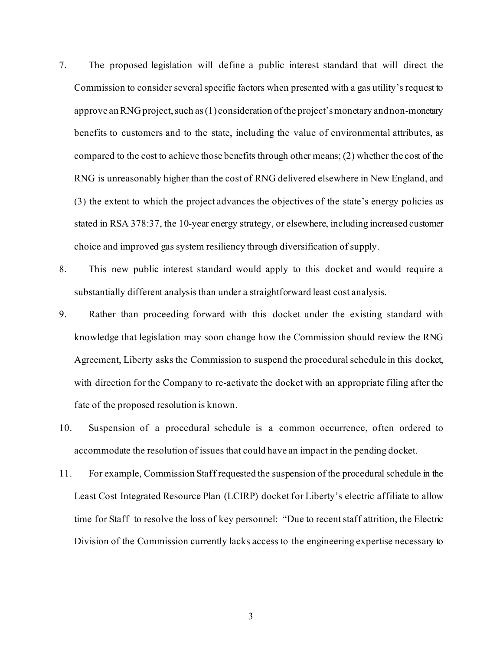- 7. The proposed legislation will define a public interest standard that will direct the Commission to consider several specific factors when presented with a gas utility's request to approve an RNG project, such as (1) consideration of the project's monetary and non-monetary benefits to customers and to the state, including the value of environmental attributes, as compared to the cost to achieve those benefits through other means; (2) whether the cost of the RNG is unreasonably higher than the cost of RNG delivered elsewhere in New England, and (3) the extent to which the project advances the objectives of the state's energy policies as stated in RSA 378:37, the 10-year energy strategy, or elsewhere, including increased customer choice and improved gas system resiliency through diversification of supply.
- 8. This new public interest standard would apply to this docket and would require a substantially different analysis than under a straightforward least cost analysis.
- 9. Rather than proceeding forward with this docket under the existing standard with knowledge that legislation may soon change how the Commission should review the RNG Agreement, Liberty asks the Commission to suspend the procedural schedule in this docket, with direction for the Company to re-activate the docket with an appropriate filing after the fate of the proposed resolution is known.
- 10. Suspension of a procedural schedule is a common occurrence, often ordered to accommodate the resolution of issues that could have an impact in the pending docket.
- 11. For example, Commission Staff requested the suspension of the procedural schedule in the Least Cost Integrated Resource Plan (LCIRP) docket for Liberty's electric affiliate to allow time for Staff to resolve the loss of key personnel: "Due to recent staff attrition, the Electric Division of the Commission currently lacks access to the engineering expertise necessary to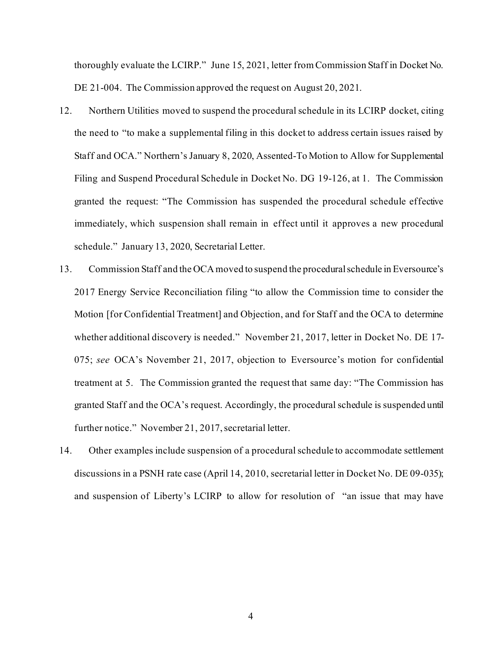thoroughly evaluate the LCIRP." June 15, 2021, letter from Commission Staff in Docket No. DE 21-004. The Commission approved the request on August 20, 2021.

- 12. Northern Utilities moved to suspend the procedural schedule in its LCIRP docket, citing the need to "to make a supplemental filing in this docket to address certain issues raised by Staff and OCA." Northern's January 8, 2020, Assented-To Motion to Allow for Supplemental Filing and Suspend Procedural Schedule in Docket No. DG 19-126, at 1. The Commission granted the request: "The Commission has suspended the procedural schedule effective immediately, which suspension shall remain in effect until it approves a new procedural schedule." January 13, 2020, Secretarial Letter.
- 13. Commission Staff and the OCA moved to suspend the procedural schedule in Eversource's 2017 Energy Service Reconciliation filing "to allow the Commission time to consider the Motion [for Confidential Treatment] and Objection, and for Staff and the OCA to determine whether additional discovery is needed." November 21, 2017, letter in Docket No. DE 17- 075; *see* OCA's November 21, 2017, objection to Eversource's motion for confidential treatment at 5. The Commission granted the request that same day: "The Commission has granted Staff and the OCA's request. Accordingly, the procedural schedule is suspended until further notice." November 21, 2017, secretarial letter.
- 14. Other examples include suspension of a procedural schedule to accommodate settlement discussions in a PSNH rate case (April 14, 2010, secretarial letter in Docket No. DE 09-035); and suspension of Liberty's LCIRP to allow for resolution of "an issue that may have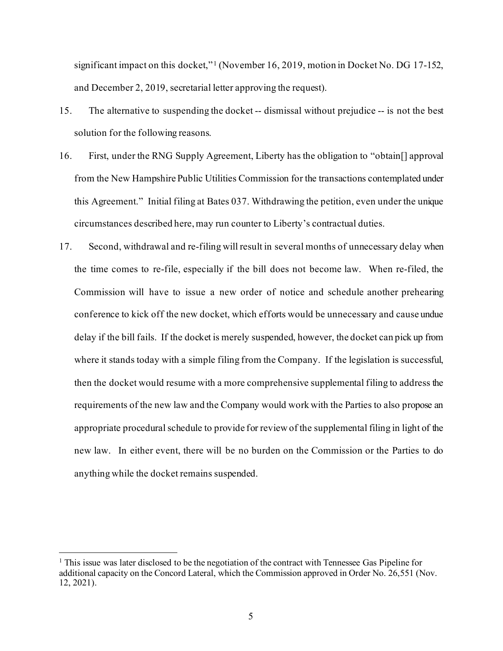significant impact on this docket,"<sup>[1](#page-4-0)</sup> (November 16, 2019, motion in Docket No. DG 17-152, and December 2, 2019, secretarial letter approving the request).

- 15. The alternative to suspending the docket -- dismissal without prejudice -- is not the best solution for the following reasons.
- 16. First, under the RNG Supply Agreement, Liberty has the obligation to "obtain[] approval from the New Hampshire Public Utilities Commission for the transactions contemplated under this Agreement." Initial filing at Bates 037. Withdrawing the petition, even under the unique circumstances described here, may run counter to Liberty's contractual duties.
- 17. Second, withdrawal and re-filing will result in several months of unnecessary delay when the time comes to re-file, especially if the bill does not become law. When re-filed, the Commission will have to issue a new order of notice and schedule another prehearing conference to kick off the new docket, which efforts would be unnecessary and cause undue delay if the bill fails. If the docket is merely suspended, however, the docket can pick up from where it stands today with a simple filing from the Company. If the legislation is successful, then the docket would resume with a more comprehensive supplemental filing to address the requirements of the new law and the Company would work with the Parties to also propose an appropriate procedural schedule to provide for review of the supplemental filing in light of the new law. In either event, there will be no burden on the Commission or the Parties to do anything while the docket remains suspended.

<span id="page-4-0"></span> $<sup>1</sup>$  This issue was later disclosed to be the negotiation of the contract with Tennessee Gas Pipeline for</sup> additional capacity on the Concord Lateral, which the Commission approved in Order No. 26,551 (Nov. 12, 2021).